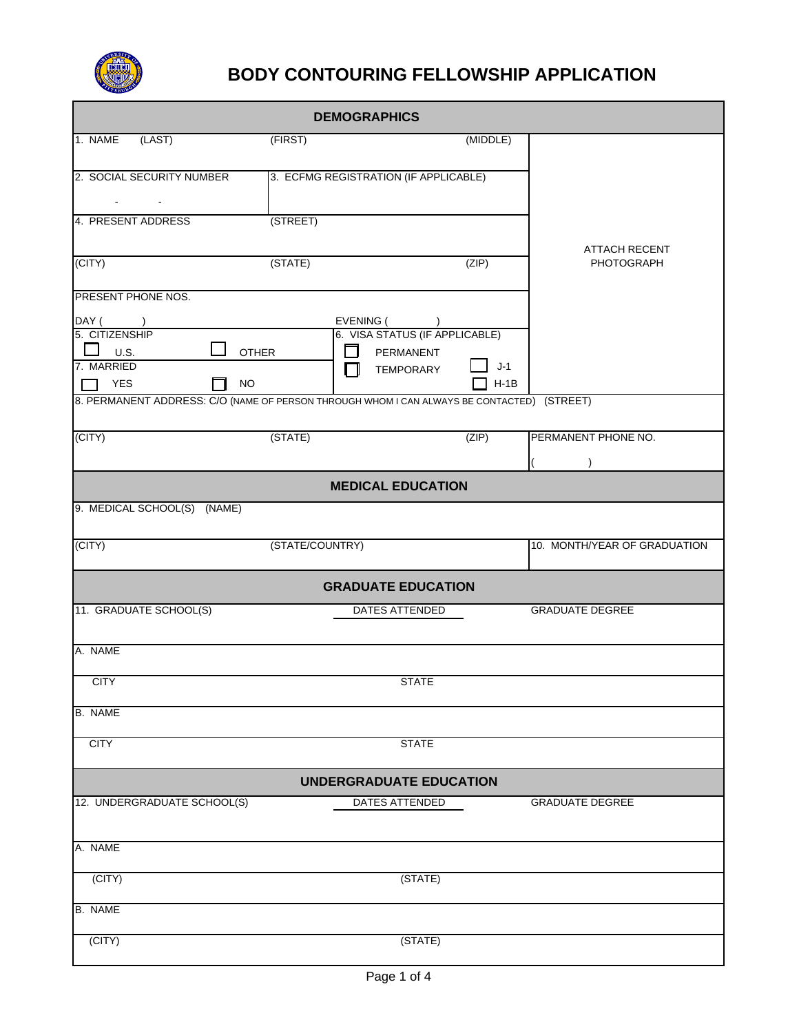

## **BODY CONTOURING FELLOWSHIP APPLICATION**

| <b>DEMOGRAPHICS</b>                                                                        |                                       |          |                              |  |  |  |
|--------------------------------------------------------------------------------------------|---------------------------------------|----------|------------------------------|--|--|--|
| 1. NAME<br>(LAST)                                                                          | (FIRST)                               | (MIDDLE) |                              |  |  |  |
|                                                                                            |                                       |          |                              |  |  |  |
| 2. SOCIAL SECURITY NUMBER                                                                  | 3. ECFMG REGISTRATION (IF APPLICABLE) |          |                              |  |  |  |
|                                                                                            |                                       |          |                              |  |  |  |
| 4. PRESENT ADDRESS                                                                         | (STREET)                              |          |                              |  |  |  |
|                                                                                            |                                       |          | <b>ATTACH RECENT</b>         |  |  |  |
| (CITY)                                                                                     | (STATE)                               | (ZIP)    | <b>PHOTOGRAPH</b>            |  |  |  |
| PRESENT PHONE NOS.                                                                         |                                       |          |                              |  |  |  |
| DAY ( )                                                                                    | EVENING (<br>$\overline{\phantom{a}}$ |          |                              |  |  |  |
| 5. CITIZENSHIP                                                                             | 6. VISA STATUS (IF APPLICABLE)        |          |                              |  |  |  |
| U.S.<br><b>OTHER</b><br>7. MARRIED                                                         | PERMANENT                             | $J-1$    |                              |  |  |  |
| <b>YES</b><br><b>NO</b>                                                                    | <b>TEMPORARY</b><br>H                 | $H-1B$   |                              |  |  |  |
| 8. PERMANENT ADDRESS: C/O (NAME OF PERSON THROUGH WHOM I CAN ALWAYS BE CONTACTED) (STREET) |                                       |          |                              |  |  |  |
|                                                                                            |                                       |          |                              |  |  |  |
| (CITY)                                                                                     | (STATE)                               | (ZIP)    | PERMANENT PHONE NO.          |  |  |  |
|                                                                                            |                                       |          |                              |  |  |  |
|                                                                                            | <b>MEDICAL EDUCATION</b>              |          |                              |  |  |  |
| 9. MEDICAL SCHOOL(S) (NAME)                                                                |                                       |          |                              |  |  |  |
|                                                                                            |                                       |          |                              |  |  |  |
| (CITY)                                                                                     | (STATE/COUNTRY)                       |          | 10. MONTH/YEAR OF GRADUATION |  |  |  |
| <b>GRADUATE EDUCATION</b>                                                                  |                                       |          |                              |  |  |  |
| 11. GRADUATE SCHOOL(S)                                                                     | <b>DATES ATTENDED</b>                 |          | <b>GRADUATE DEGREE</b>       |  |  |  |
|                                                                                            |                                       |          |                              |  |  |  |
| A. NAME                                                                                    |                                       |          |                              |  |  |  |
| <b>CITY</b>                                                                                | <b>STATE</b>                          |          |                              |  |  |  |
| <b>B.</b> NAME                                                                             |                                       |          |                              |  |  |  |
|                                                                                            |                                       |          |                              |  |  |  |
| <b>CITY</b>                                                                                | <b>STATE</b>                          |          |                              |  |  |  |
| <b>UNDERGRADUATE EDUCATION</b>                                                             |                                       |          |                              |  |  |  |
| 12. UNDERGRADUATE SCHOOL(S)                                                                | DATES ATTENDED                        |          | <b>GRADUATE DEGREE</b>       |  |  |  |
|                                                                                            |                                       |          |                              |  |  |  |
| A. NAME                                                                                    |                                       |          |                              |  |  |  |
| (CITY)                                                                                     |                                       |          |                              |  |  |  |
|                                                                                            | (STATE)                               |          |                              |  |  |  |
|                                                                                            |                                       |          |                              |  |  |  |
| <b>B. NAME</b>                                                                             |                                       |          |                              |  |  |  |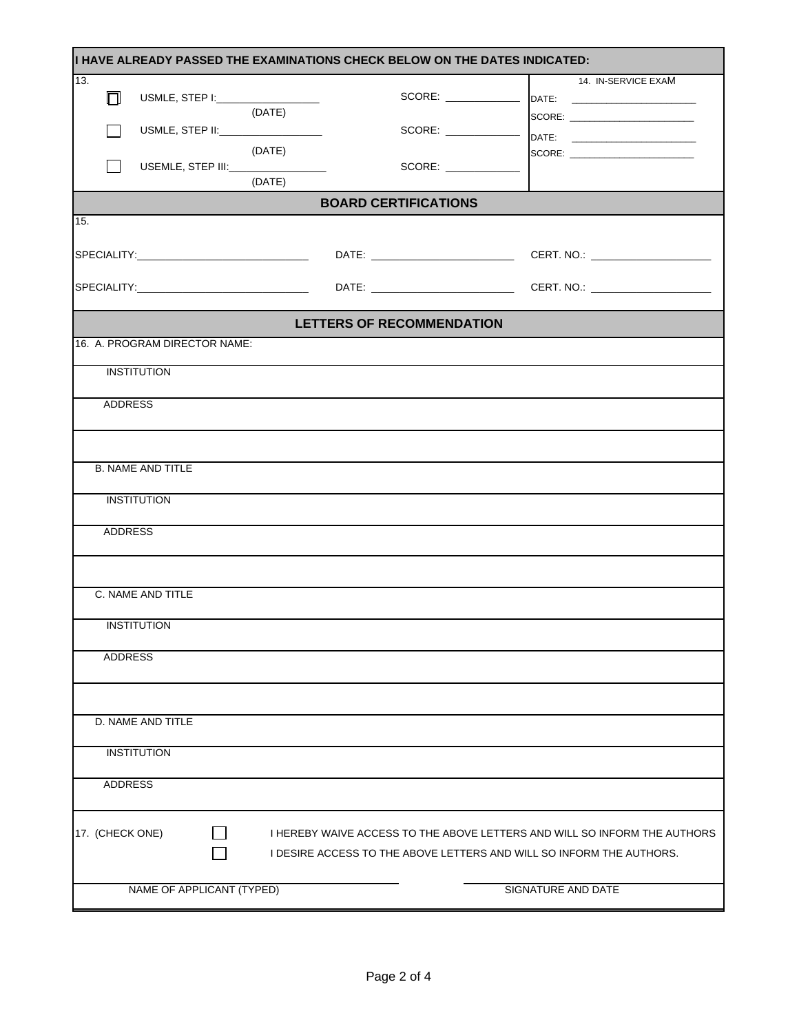|                               |                                     | I HAVE ALREADY PASSED THE EXAMINATIONS CHECK BELOW ON THE DATES INDICATED: |                                                                           |
|-------------------------------|-------------------------------------|----------------------------------------------------------------------------|---------------------------------------------------------------------------|
| 13.                           |                                     |                                                                            | 14. IN-SERVICE EXAM                                                       |
| $\Box$                        | USMLE, STEP I:_____________________ |                                                                            |                                                                           |
|                               | (DATE)                              |                                                                            |                                                                           |
|                               | USMLE, STEP II:___________________  |                                                                            | SCORE: ________________________                                           |
|                               |                                     |                                                                            |                                                                           |
|                               | (DATE)                              |                                                                            | SCORE: _________________________                                          |
|                               |                                     | SCORE:                                                                     |                                                                           |
|                               | (DATE)                              |                                                                            |                                                                           |
|                               |                                     | <b>BOARD CERTIFICATIONS</b>                                                |                                                                           |
| 15.                           |                                     |                                                                            |                                                                           |
|                               |                                     |                                                                            |                                                                           |
|                               |                                     |                                                                            |                                                                           |
|                               |                                     |                                                                            |                                                                           |
|                               |                                     |                                                                            |                                                                           |
|                               |                                     |                                                                            |                                                                           |
|                               |                                     |                                                                            |                                                                           |
|                               |                                     | <b>LETTERS OF RECOMMENDATION</b>                                           |                                                                           |
| 16. A. PROGRAM DIRECTOR NAME: |                                     |                                                                            |                                                                           |
|                               |                                     |                                                                            |                                                                           |
| <b>INSTITUTION</b>            |                                     |                                                                            |                                                                           |
|                               |                                     |                                                                            |                                                                           |
| <b>ADDRESS</b>                |                                     |                                                                            |                                                                           |
|                               |                                     |                                                                            |                                                                           |
|                               |                                     |                                                                            |                                                                           |
|                               |                                     |                                                                            |                                                                           |
| <b>B. NAME AND TITLE</b>      |                                     |                                                                            |                                                                           |
|                               |                                     |                                                                            |                                                                           |
|                               |                                     |                                                                            |                                                                           |
| <b>INSTITUTION</b>            |                                     |                                                                            |                                                                           |
|                               |                                     |                                                                            |                                                                           |
| <b>ADDRESS</b>                |                                     |                                                                            |                                                                           |
|                               |                                     |                                                                            |                                                                           |
|                               |                                     |                                                                            |                                                                           |
|                               |                                     |                                                                            |                                                                           |
| C. NAME AND TITLE             |                                     |                                                                            |                                                                           |
|                               |                                     |                                                                            |                                                                           |
| <b>INSTITUTION</b>            |                                     |                                                                            |                                                                           |
|                               |                                     |                                                                            |                                                                           |
| <b>ADDRESS</b>                |                                     |                                                                            |                                                                           |
|                               |                                     |                                                                            |                                                                           |
|                               |                                     |                                                                            |                                                                           |
|                               |                                     |                                                                            |                                                                           |
| D. NAME AND TITLE             |                                     |                                                                            |                                                                           |
|                               |                                     |                                                                            |                                                                           |
| <b>INSTITUTION</b>            |                                     |                                                                            |                                                                           |
|                               |                                     |                                                                            |                                                                           |
| ADDRESS                       |                                     |                                                                            |                                                                           |
|                               |                                     |                                                                            |                                                                           |
|                               |                                     |                                                                            |                                                                           |
|                               |                                     |                                                                            |                                                                           |
| 17. (CHECK ONE)               |                                     |                                                                            | I HEREBY WAIVE ACCESS TO THE ABOVE LETTERS AND WILL SO INFORM THE AUTHORS |
|                               |                                     |                                                                            | I DESIRE ACCESS TO THE ABOVE LETTERS AND WILL SO INFORM THE AUTHORS.      |
|                               |                                     |                                                                            |                                                                           |
|                               | NAME OF APPLICANT (TYPED)           |                                                                            | SIGNATURE AND DATE                                                        |
|                               |                                     |                                                                            |                                                                           |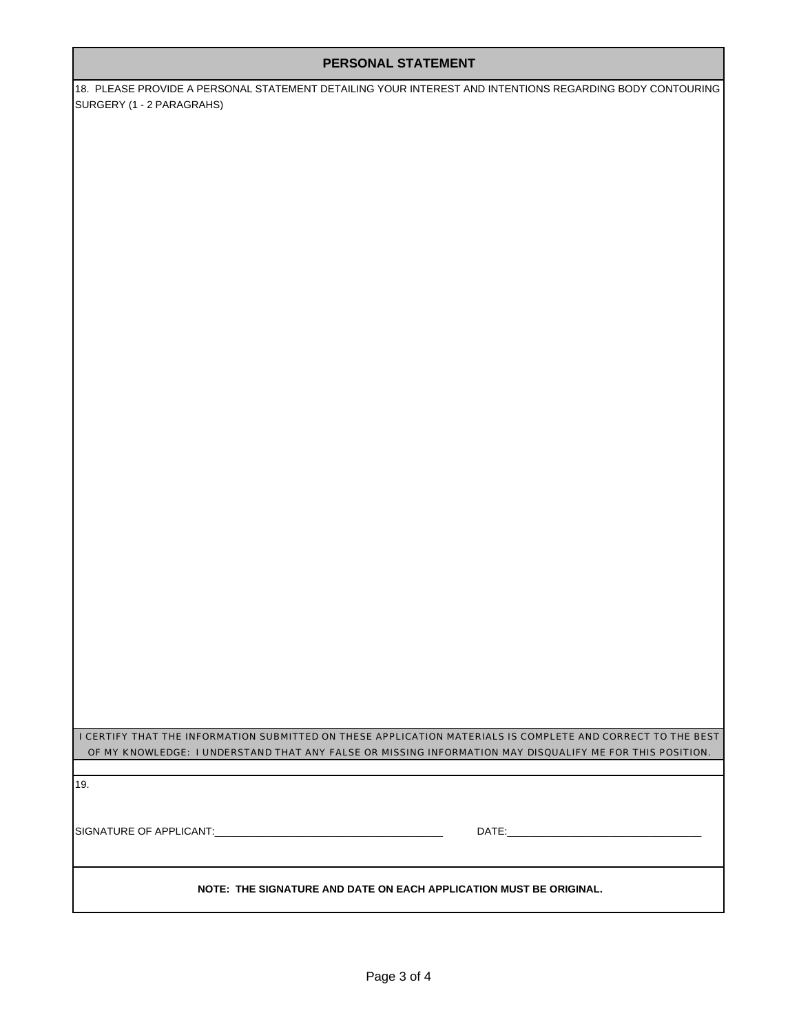18. PLEASE PROVIDE A PERSONAL STATEMENT DETAILING YOUR INTEREST AND INTENTIONS REGARDING BODY CONTOURING SURGERY (1 - 2 PARAGRAHS)

I CERTIFY THAT THE INFORMATION SUBMITTED ON THESE APPLICATION MATERIALS IS COMPLETE AND CORRECT TO THE BEST OF MY KNOWLEDGE: I UNDERSTAND THAT ANY FALSE OR MISSING INFORMATION MAY DISQUALIFY ME FOR THIS POSITION.

19.

SIGNATURE OF APPLICANT:\_\_\_\_\_\_\_\_\_\_\_\_\_\_\_\_\_\_\_\_\_\_\_\_\_\_\_\_\_\_\_\_\_\_\_\_\_\_\_\_ DATE:\_\_\_\_\_\_\_\_\_\_\_\_\_\_\_\_\_\_\_\_\_\_\_\_\_\_\_\_\_\_\_\_\_\_

**NOTE: THE SIGNATURE AND DATE ON EACH APPLICATION MUST BE ORIGINAL.**